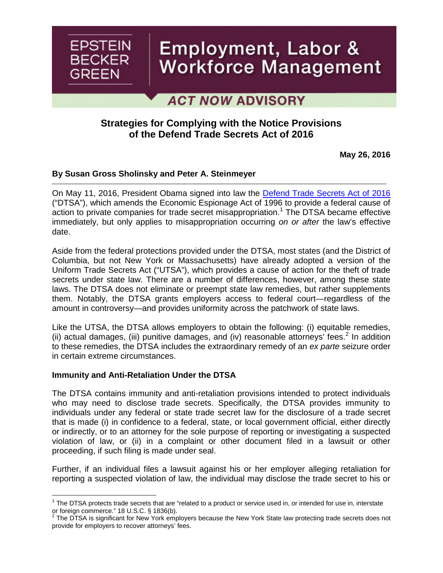

# Employment, Labor & Workforce Management

**ACT NOW ADVISORY** 

## **Strategies for Complying with the Notice Provisions of the Defend Trade Secrets Act of 2016**

**May 26, 2016**

## **By [Susan Gross Sholinsky](http://www.ebglaw.com/susan-gross-sholinsky/)and [Peter A. Steinmeyer](http://www.ebglaw.com/peter-a-steinmeyer/)**

On May 11, 2016, President Obama signed into law the [Defend Trade Secrets Act of 2016](https://www.congress.gov/bill/114th-congress/senate-bill/1890/text) ("DTSA"), which amends the Economic Espionage Act of 1996 to provide a federal cause of action to private companies for trade secret misappropriation.<sup>[1](#page-0-0)</sup> The DTSA became effective immediately, but only applies to misappropriation occurring *on or after* the law's effective date.

Aside from the federal protections provided under the DTSA, most states (and the District of Columbia, but not New York or Massachusetts) have already adopted a version of the Uniform Trade Secrets Act ("UTSA"), which provides a cause of action for the theft of trade secrets under state law. There are a number of differences, however, among these state laws. The DTSA does not eliminate or preempt state law remedies, but rather supplements them. Notably, the DTSA grants employers access to federal court—regardless of the amount in controversy—and provides uniformity across the patchwork of state laws.

Like the UTSA, the DTSA allows employers to obtain the following: (i) equitable remedies, (ii)actual damages, (iii) punitive damages, and (iv) reasonable attorneys' fees.<sup>2</sup> In addition to these remedies, the DTSA includes the extraordinary remedy of an *ex parte* seizure order in certain extreme circumstances.

## **Immunity and Anti-Retaliation Under the DTSA**

The DTSA contains immunity and anti-retaliation provisions intended to protect individuals who may need to disclose trade secrets. Specifically, the DTSA provides immunity to individuals under any federal or state trade secret law for the disclosure of a trade secret that is made (i) in confidence to a federal, state, or local government official, either directly or indirectly, or to an attorney for the sole purpose of reporting or investigating a suspected violation of law, or (ii) in a complaint or other document filed in a lawsuit or other proceeding, if such filing is made under seal.

Further, if an individual files a lawsuit against his or her employer alleging retaliation for reporting a suspected violation of law, the individual may disclose the trade secret to his or

<span id="page-0-0"></span> $1$  The DTSA protects trade secrets that are "related to a product or service used in, or intended for use in, interstate or foreign commerce." 18 U.S.C. § 1836(b).<br><sup>2</sup> The DTSA is significant for Nau: Yark amr

<span id="page-0-1"></span>The DTSA is significant for New York employers because the New York State law protecting trade secrets does not provide for employers to recover attorneys' fees.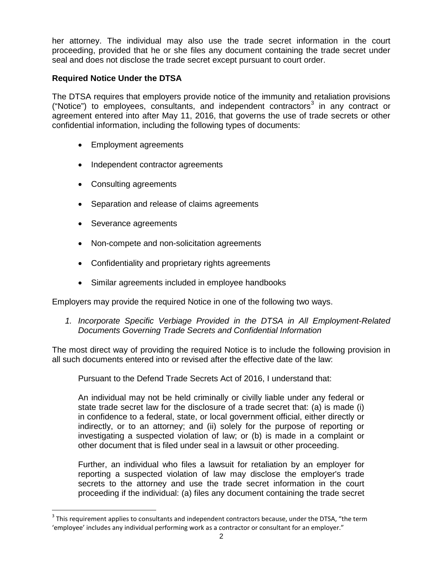her attorney. The individual may also use the trade secret information in the court proceeding, provided that he or she files any document containing the trade secret under seal and does not disclose the trade secret except pursuant to court order.

## **Required Notice Under the DTSA**

The DTSA requires that employers provide notice of the immunity and retaliation provisions ("Notice") to employee[s](#page-1-0), consultants, and independent contractors<sup>3</sup> in any contract or agreement entered into after May 11, 2016, that governs the use of trade secrets or other confidential information, including the following types of documents:

- Employment agreements
- Independent contractor agreements
- Consulting agreements
- Separation and release of claims agreements
- Severance agreements
- Non-compete and non-solicitation agreements
- Confidentiality and proprietary rights agreements
- Similar agreements included in employee handbooks

Employers may provide the required Notice in one of the following two ways.

*1. Incorporate Specific Verbiage Provided in the DTSA in All Employment-Related Documents Governing Trade Secrets and Confidential Information*

The most direct way of providing the required Notice is to include the following provision in all such documents entered into or revised after the effective date of the law:

Pursuant to the Defend Trade Secrets Act of 2016, I understand that:

An individual may not be held criminally or civilly liable under any federal or state trade secret law for the disclosure of a trade secret that: (a) is made (i) in confidence to a federal, state, or local government official, either directly or indirectly, or to an attorney; and (ii) solely for the purpose of reporting or investigating a suspected violation of law; or (b) is made in a complaint or other document that is filed under seal in a lawsuit or other proceeding.

Further, an individual who files a lawsuit for retaliation by an employer for reporting a suspected violation of law may disclose the employer's trade secrets to the attorney and use the trade secret information in the court proceeding if the individual: (a) files any document containing the trade secret

<span id="page-1-0"></span> $3$  This requirement applies to consultants and independent contractors because, under the DTSA, "the term 'employee' includes any individual performing work as a contractor or consultant for an employer."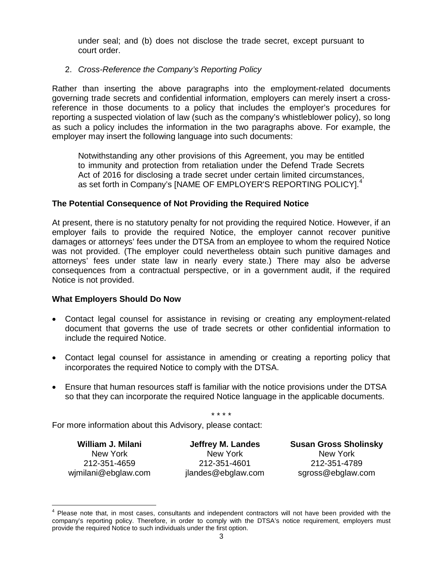under seal; and (b) does not disclose the trade secret, except pursuant to court order.

## 2. *Cross-Reference the Company's Reporting Policy*

Rather than inserting the above paragraphs into the employment-related documents governing trade secrets and confidential information, employers can merely insert a crossreference in those documents to a policy that includes the employer's procedures for reporting a suspected violation of law (such as the company's whistleblower policy), so long as such a policy includes the information in the two paragraphs above. For example, the employer may insert the following language into such documents:

Notwithstanding any other provisions of this Agreement, you may be entitled to immunity and protection from retaliation under the Defend Trade Secrets Act of 2016 for disclosing a trade secret under certain limited circumstances, as set forth in Company's [NAME OF EMPLOYER'S REPORTING POLICY].<sup>[4](#page-2-0)</sup>

### **The Potential Consequence of Not Providing the Required Notice**

At present, there is no statutory penalty for not providing the required Notice. However, if an employer fails to provide the required Notice, the employer cannot recover punitive damages or attorneys' fees under the DTSA from an employee to whom the required Notice was not provided. (The employer could nevertheless obtain such punitive damages and attorneys' fees under state law in nearly every state.) There may also be adverse consequences from a contractual perspective, or in a government audit, if the required Notice is not provided.

### **What Employers Should Do Now**

- Contact legal counsel for assistance in revising or creating any employment-related document that governs the use of trade secrets or other confidential information to include the required Notice.
- Contact legal counsel for assistance in amending or creating a reporting policy that incorporates the required Notice to comply with the DTSA.
- Ensure that human resources staff is familiar with the notice provisions under the DTSA so that they can incorporate the required Notice language in the applicable documents.

\* \* \* \*

For more information about this Advisory, please contact:

**[William J. Milani](http://www.ebglaw.com/william-j-milani/)** New York 212-351-4659 [wjmilani@ebglaw.com](mailto:wjmilani@ebglaw.com)

**[Jeffrey M. Landes](http://www.ebglaw.com/jeffrey-m-landes/)** New York 212-351-4601 [jlandes@ebglaw.com](mailto:jlandes@ebglaw.com)

**[Susan Gross Sholinsky](http://www.ebglaw.com/susan-gross-sholinsky/)** New York 212-351-4789 [sgross@ebglaw.com](mailto:sgross@ebglaw.com)

<span id="page-2-0"></span><sup>&</sup>lt;sup>4</sup> Please note that, in most cases, consultants and independent contractors will not have been provided with the company's reporting policy. Therefore, in order to comply with the DTSA's notice requirement, employers must provide the required Notice to such individuals under the first option.